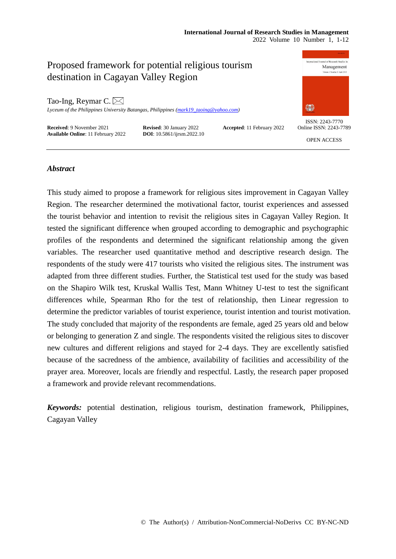# **International Journal of Research Studies in Management**

2022 Volume 10 Number 1, 1-12



### *Abstract*

This study aimed to propose a framework for religious sites improvement in Cagayan Valley Region. The researcher determined the motivational factor, tourist experiences and assessed the tourist behavior and intention to revisit the religious sites in Cagayan Valley Region. It tested the significant difference when grouped according to demographic and psychographic profiles of the respondents and determined the significant relationship among the given variables. The researcher used quantitative method and descriptive research design. The respondents of the study were 417 tourists who visited the religious sites. The instrument was adapted from three different studies. Further, the Statistical test used for the study was based on the Shapiro Wilk test, Kruskal Wallis Test, Mann Whitney U-test to test the significant differences while, Spearman Rho for the test of relationship, then Linear regression to determine the predictor variables of tourist experience, tourist intention and tourist motivation. The study concluded that majority of the respondents are female, aged 25 years old and below or belonging to generation Z and single. The respondents visited the religious sites to discover new cultures and different religions and stayed for 2-4 days. They are excellently satisfied because of the sacredness of the ambience, availability of facilities and accessibility of the prayer area. Moreover, locals are friendly and respectful. Lastly, the research paper proposed a framework and provide relevant recommendations.

*Keywords:* potential destination, religious tourism, destination framework, Philippines, Cagayan Valley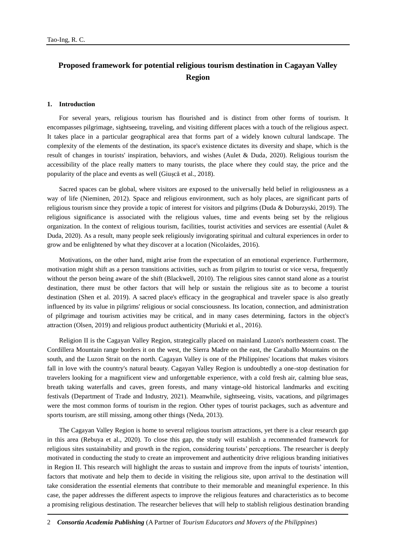## **Proposed framework for potential religious tourism destination in Cagayan Valley Region**

#### **1. Introduction**

For several years, religious tourism has flourished and is distinct from other forms of tourism. It encompasses pilgrimage, sightseeing, traveling, and visiting different places with a touch of the religious aspect. It takes place in a particular geographical area that forms part of a widely known cultural landscape. The complexity of the elements of the destination, its space's existence dictates its diversity and shape, which is the result of changes in tourists' inspiration, behaviors, and wishes (Aulet & Duda, 2020). Religious tourism the accessibility of the place really matters to many tourists, the place where they could stay, the price and the popularity of the place and events as well (Giușcă et al., 2018).

Sacred spaces can be global, where visitors are exposed to the universally held belief in religiousness as a way of life (Nieminen, 2012). Space and religious environment, such as holy places, are significant parts of religious tourism since they provide a topic of interest for visitors and pilgrims (Duda & Doburzyski, 2019). The religious significance is associated with the religious values, time and events being set by the religious organization. In the context of religious tourism, facilities, tourist activities and services are essential (Aulet  $\&$ Duda, 2020). As a result, many people seek religiously invigorating spiritual and cultural experiences in order to grow and be enlightened by what they discover at a location (Nicolaides, 2016).

Motivations, on the other hand, might arise from the expectation of an emotional experience. Furthermore, motivation might shift as a person transitions activities, such as from pilgrim to tourist or vice versa, frequently without the person being aware of the shift (Blackwell, 2010). The religious sites cannot stand alone as a tourist destination, there must be other factors that will help or sustain the religious site as to become a tourist destination (Shen et al. 2019). A sacred place's efficacy in the geographical and traveler space is also greatly influenced by its value in pilgrims' religious or social consciousness. Its location, connection, and administration of pilgrimage and tourism activities may be critical, and in many cases determining, factors in the object's attraction (Olsen, 2019) and religious product authenticity (Muriuki et al., 2016).

Religion II is the Cagayan Valley Region, strategically placed on mainland Luzon's northeastern coast. The Cordillera Mountain range borders it on the west, the Sierra Madre on the east, the Caraballo Mountains on the south, and the Luzon Strait on the north. Cagayan Valley is one of the Philippines' locations that makes visitors fall in love with the country's natural beauty. Cagayan Valley Region is undoubtedly a one-stop destination for travelers looking for a magnificent view and unforgettable experience, with a cold fresh air, calming blue seas, breath taking waterfalls and caves, green forests, and many vintage-old historical landmarks and exciting festivals (Department of Trade and Industry, 2021). Meanwhile, sightseeing, visits, vacations, and pilgrimages were the most common forms of tourism in the region. Other types of tourist packages, such as adventure and sports tourism, are still missing, among other things (Neda, 2013).

The Cagayan Valley Region is home to several religious tourism attractions, yet there is a clear research gap in this area (Rebuya et al., 2020). To close this gap, the study will establish a recommended framework for religious sites sustainability and growth in the region, considering tourists' perceptions. The researcher is deeply motivated in conducting the study to create an improvement and authenticity drive religious branding initiatives in Region II. This research will highlight the areas to sustain and improve from the inputs of tourists' intention, factors that motivate and help them to decide in visiting the religious site, upon arrival to the destination will take consideration the essential elements that contribute to their memorable and meaningful experience. In this case, the paper addresses the different aspects to improve the religious features and characteristics as to become a promising religious destination. The researcher believes that will help to stablish religious destination branding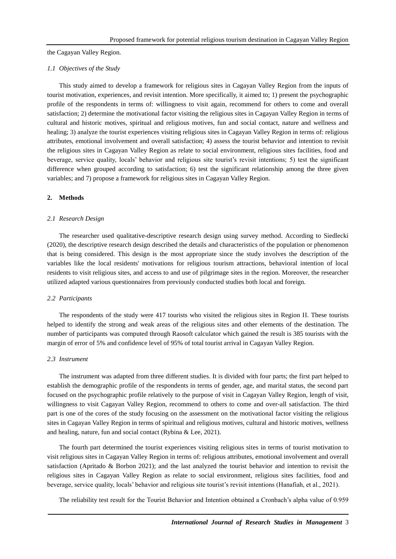the Cagayan Valley Region.

#### *1.1 Objectives of the Study*

This study aimed to develop a framework for religious sites in Cagayan Valley Region from the inputs of tourist motivation, experiences, and revisit intention. More specifically, it aimed to; 1) present the psychographic profile of the respondents in terms of: willingness to visit again, recommend for others to come and overall satisfaction; 2) determine the motivational factor visiting the religious sites in Cagayan Valley Region in terms of cultural and historic motives, spiritual and religious motives, fun and social contact, nature and wellness and healing; 3) analyze the tourist experiences visiting religious sites in Cagayan Valley Region in terms of: religious attributes, emotional involvement and overall satisfaction; 4) assess the tourist behavior and intention to revisit the religious sites in Cagayan Valley Region as relate to social environment, religious sites facilities, food and beverage, service quality, locals' behavior and religious site tourist's revisit intentions; 5) test the significant difference when grouped according to satisfaction; 6) test the significant relationship among the three given variables; and 7) propose a framework for religious sites in Cagayan Valley Region.

#### **2. Methods**

#### *2.1 Research Design*

The researcher used qualitative-descriptive research design using survey method. According to Siedlecki (2020), the descriptive research design described the details and characteristics of the population or phenomenon that is being considered. This design is the most appropriate since the study involves the description of the variables like the local residents' motivations for religious tourism attractions, behavioral intention of local residents to visit religious sites, and access to and use of pilgrimage sites in the region. Moreover, the researcher utilized adapted various questionnaires from previously conducted studies both local and foreign.

#### *2.2 Participants*

The respondents of the study were 417 tourists who visited the religious sites in Region II. These tourists helped to identify the strong and weak areas of the religious sites and other elements of the destination. The number of participants was computed through Raosoft calculator which gained the result is 385 tourists with the margin of error of 5% and confidence level of 95% of total tourist arrival in Cagayan Valley Region.

#### *2.3 Instrument*

The instrument was adapted from three different studies. It is divided with four parts; the first part helped to establish the demographic profile of the respondents in terms of gender, age, and marital status, the second part focused on the psychographic profile relatively to the purpose of visit in Cagayan Valley Region, length of visit, willingness to visit Cagayan Valley Region, recommend to others to come and over-all satisfaction. The third part is one of the cores of the study focusing on the assessment on the motivational factor visiting the religious sites in Cagayan Valley Region in terms of spiritual and religious motives, cultural and historic motives, wellness and healing, nature, fun and social contact (Rybina & Lee, 2021).

The fourth part determined the tourist experiences visiting religious sites in terms of tourist motivation to visit religious sites in Cagayan Valley Region in terms of: religious attributes, emotional involvement and overall satisfaction (Apritado & Borbon 2021); and the last analyzed the tourist behavior and intention to revisit the religious sites in Cagayan Valley Region as relate to social environment, religious sites facilities, food and beverage, service quality, locals' behavior and religious site tourist's revisit intentions (Hanafiah, et al., 2021).

The reliability test result for the Tourist Behavior and Intention obtained a Cronbach's alpha value of 0.959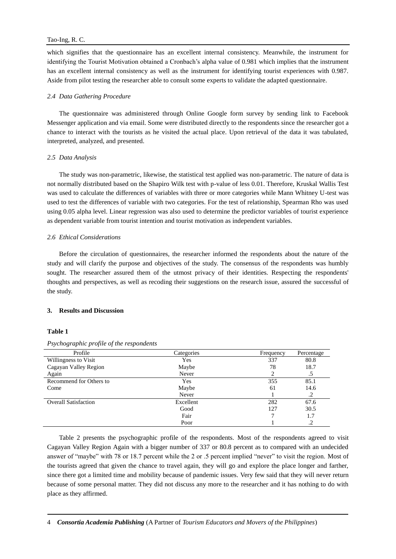which signifies that the questionnaire has an excellent internal consistency. Meanwhile, the instrument for identifying the Tourist Motivation obtained a Cronbach's alpha value of 0.981 which implies that the instrument has an excellent internal consistency as well as the instrument for identifying tourist experiences with 0.987. Aside from pilot testing the researcher able to consult some experts to validate the adapted questionnaire.

#### *2.4 Data Gathering Procedure*

The questionnaire was administered through Online Google form survey by sending link to Facebook Messenger application and via email. Some were distributed directly to the respondents since the researcher got a chance to interact with the tourists as he visited the actual place. Upon retrieval of the data it was tabulated, interpreted, analyzed, and presented.

#### *2.5 Data Analysis*

The study was non-parametric, likewise, the statistical test applied was non-parametric. The nature of data is not normally distributed based on the Shapiro Wilk test with p-value of less 0.01. Therefore, Kruskal Wallis Test was used to calculate the differences of variables with three or more categories while Mann Whitney U-test was used to test the differences of variable with two categories. For the test of relationship, Spearman Rho was used using 0.05 alpha level. Linear regression was also used to determine the predictor variables of tourist experience as dependent variable from tourist intention and tourist motivation as independent variables.

#### *2.6 Ethical Considerations*

Before the circulation of questionnaires, the researcher informed the respondents about the nature of the study and will clarify the purpose and objectives of the study. The consensus of the respondents was humbly sought. The researcher assured them of the utmost privacy of their identities. Respecting the respondents' thoughts and perspectives, as well as recoding their suggestions on the research issue, assured the successful of the study.

#### **3. Results and Discussion**

#### **Table 1**

| Profile                     | Categories | Frequency |            |  |
|-----------------------------|------------|-----------|------------|--|
| Willingness to Visit        | Yes        | 337       | 80.8       |  |
| Cagayan Valley Region       | Maybe      |           | 18.7       |  |
| Again                       | Never      |           | $.5\,$     |  |
| Recommend for Others to     | Yes        | 355       | 85.1       |  |
| Come                        | Maybe      |           | 14.6       |  |
|                             | Never      |           | $\cdot$ .2 |  |
| <b>Overall Satisfaction</b> | Excellent  | 282       | 67.6       |  |
|                             | Good       | 127       | 30.5       |  |
|                             | Fair       |           | 1.7        |  |
|                             | Poor       |           | .2         |  |

*Psychographic profile of the respondents*

Table 2 presents the psychographic profile of the respondents. Most of the respondents agreed to visit Cagayan Valley Region Again with a bigger number of 337 or 80.8 percent as to compared with an undecided answer of "maybe" with 78 or 18.7 percent while the 2 or .5 percent implied "never" to visit the region. Most of the tourists agreed that given the chance to travel again, they will go and explore the place longer and farther, since there got a limited time and mobility because of pandemic issues. Very few said that they will never return because of some personal matter. They did not discuss any more to the researcher and it has nothing to do with place as they affirmed.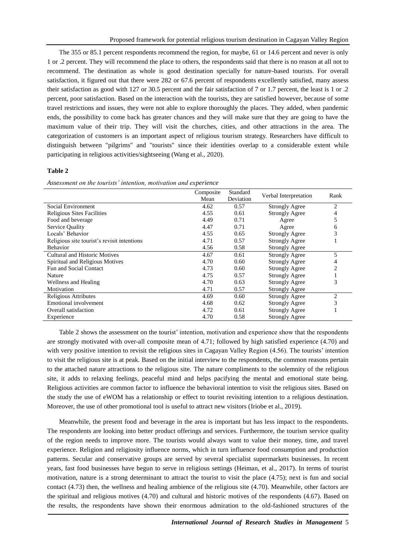The 355 or 85.1 percent respondents recommend the region, for maybe, 61 or 14.6 percent and never is only 1 or .2 percent. They will recommend the place to others, the respondents said that there is no reason at all not to recommend. The destination as whole is good destination specially for nature-based tourists. For overall satisfaction, it figured out that there were 282 or 67.6 percent of respondents excellently satisfied, many assess their satisfaction as good with 127 or 30.5 percent and the fair satisfaction of 7 or 1.7 percent, the least is 1 or .2 percent, poor satisfaction. Based on the interaction with the tourists, they are satisfied however, because of some travel restrictions and issues, they were not able to explore thoroughly the places. They added, when pandemic ends, the possibility to come back has greater chances and they will make sure that they are going to have the maximum value of their trip. They will visit the churches, cities, and other attractions in the area. The categorization of customers is an important aspect of religious tourism strategy. Researchers have difficult to distinguish between "pilgrims" and "tourists" since their identities overlap to a considerable extent while participating in religious activities/sightseeing (Wang et al., 2020).

#### **Table 2**

|                                             | Composite<br>Mean | Standard<br>Deviation | Verbal Interpretation | Rank           |
|---------------------------------------------|-------------------|-----------------------|-----------------------|----------------|
| Social Environment                          | 4.62              | 0.57                  | <b>Strongly Agree</b> | 2              |
| <b>Religious Sites Facilities</b>           | 4.55              | 0.61                  | <b>Strongly Agree</b> | 4              |
| Food and beverage                           | 4.49              | 0.71                  | Agree                 | 5              |
| Service Quality                             | 4.47              | 0.71                  | Agree                 | 6              |
| Locals' Behavior                            | 4.55              | 0.65                  | <b>Strongly Agree</b> | 3              |
| Religious site tourist's revisit intentions | 4.71              | 0.57                  | <b>Strongly Agree</b> |                |
| <b>Behavior</b>                             | 4.56              | 0.58                  | <b>Strongly Agree</b> |                |
| Cultural and Historic Motives               | 4.67              | 0.61                  | <b>Strongly Agree</b> | $\overline{5}$ |
| Spiritual and Religious Motives             | 4.70              | 0.60                  | <b>Strongly Agree</b> |                |
| Fun and Social Contact                      | 4.73              | 0.60                  | <b>Strongly Agree</b> | 2              |
| Nature                                      | 4.75              | 0.57                  | <b>Strongly Agree</b> |                |
| Wellness and Healing                        | 4.70              | 0.63                  | <b>Strongly Agree</b> | 3              |
| Motivation                                  | 4.71              | 0.57                  | <b>Strongly Agree</b> |                |
| Religious Attributes                        | 4.69              | 0.60                  | <b>Strongly Agree</b> | $\overline{c}$ |
| Emotional involvement                       | 4.68              | 0.62                  | <b>Strongly Agree</b> | 3              |
| Overall satisfaction                        | 4.72              | 0.61                  | <b>Strongly Agree</b> |                |
| Experience                                  | 4.70              | 0.58                  | <b>Strongly Agree</b> |                |

Table 2 shows the assessment on the tourist' intention, motivation and experience show that the respondents are strongly motivated with over-all composite mean of 4.71; followed by high satisfied experience (4.70) and with very positive intention to revisit the religious sites in Cagayan Valley Region (4.56). The tourists' intention to visit the religious site is at peak. Based on the initial interview to the respondents, the common reasons pertain to the attached nature attractions to the religious site. The nature compliments to the solemnity of the religious site, it adds to relaxing feelings, peaceful mind and helps pacifying the mental and emotional state being. Religious activities are common factor to influence the behavioral intention to visit the religious sites. Based on the study the use of eWOM has a relationship or effect to tourist revisiting intention to a religious destination. Moreover, the use of other promotional tool is useful to attract new visitors (Iriobe et al., 2019).

Meanwhile, the present food and beverage in the area is important but has less impact to the respondents. The respondents are looking into better product offerings and services. Furthermore, the tourism service quality of the region needs to improve more. The tourists would always want to value their money, time, and travel experience. Religion and religiosity influence norms, which in turn influence food consumption and production patterns. Secular and conservative groups are served by several specialist supermarkets businesses. In recent years, fast food businesses have begun to serve in religious settings (Heiman, et al., 2017). In terms of tourist motivation, nature is a strong determinant to attract the tourist to visit the place (4.75); next is fun and social contact (4.73) then, the wellness and healing ambience of the religious site (4.70). Meanwhile, other factors are the spiritual and religious motives (4.70) and cultural and historic motives of the respondents (4.67). Based on the results, the respondents have shown their enormous admiration to the old-fashioned structures of the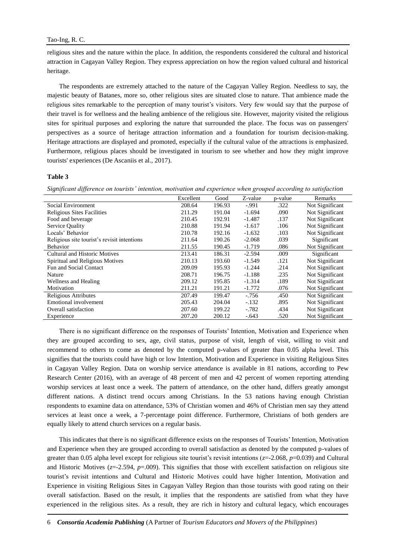religious sites and the nature within the place. In addition, the respondents considered the cultural and historical attraction in Cagayan Valley Region. They express appreciation on how the region valued cultural and historical heritage.

The respondents are extremely attached to the nature of the Cagayan Valley Region. Needless to say, the majestic beauty of Batanes, more so, other religious sites are situated close to nature. That ambience made the religious sites remarkable to the perception of many tourist's visitors. Very few would say that the purpose of their travel is for wellness and the healing ambience of the religious site. However, majority visited the religious sites for spiritual purposes and exploring the nature that surrounded the place. The focus was on passengers' perspectives as a source of heritage attraction information and a foundation for tourism decision-making. Heritage attractions are displayed and promoted, especially if the cultural value of the attractions is emphasized. Furthermore, religious places should be investigated in tourism to see whether and how they might improve tourists' experiences (De Ascaniis et al., 2017).

#### **Table 3**

*Significant difference on tourists' intention, motivation and experience when grouped according to satisfaction* 

| Excellent | Good   | Z-value  | p-value | Remarks         |
|-----------|--------|----------|---------|-----------------|
| 208.64    | 196.93 | $-.991$  | .322    | Not Significant |
| 211.29    | 191.04 | $-1.694$ | .090    | Not Significant |
| 210.45    | 192.91 | $-1.487$ | .137    | Not Significant |
| 210.88    | 191.94 | $-1.617$ | .106    | Not Significant |
| 210.78    | 192.16 | $-1.632$ | .103    | Not Significant |
| 211.64    | 190.26 | $-2.068$ | .039    | Significant     |
| 211.55    | 190.45 | $-1.719$ | .086    | Not Significant |
| 213.41    | 186.31 | $-2.594$ | .009    | Significant     |
| 210.13    | 193.60 | $-1.549$ | .121    | Not Significant |
| 209.09    | 195.93 | $-1.244$ | .214    | Not Significant |
| 208.71    | 196.75 | $-1.188$ | .235    | Not Significant |
| 209.12    | 195.85 | $-1.314$ | .189    | Not Significant |
| 211.21    | 191.21 | $-1.772$ | .076    | Not Significant |
| 207.49    | 199.47 | $-756$   | .450    | Not Significant |
| 205.43    | 204.04 | $-.132$  | .895    | Not Significant |
| 207.60    | 199.22 | $-782$   | .434    | Not Significant |
| 207.20    | 200.12 | $-.643$  | .520    | Not Significant |
|           |        |          |         |                 |

There is no significant difference on the responses of Tourists' Intention, Motivation and Experience when they are grouped according to sex, age, civil status, purpose of visit, length of visit, willing to visit and recommend to others to come as denoted by the computed p-values of greater than 0.05 alpha level. This signifies that the tourists could have high or low Intention, Motivation and Experience in visiting Religious Sites in Cagayan Valley Region. Data on worship service attendance is available in 81 nations, according to Pew Research Center (2016), with an average of 48 percent of men and 42 percent of women reporting attending worship services at least once a week. The pattern of attendance, on the other hand, differs greatly amongst different nations. A distinct trend occurs among Christians. In the 53 nations having enough Christian respondents to examine data on attendance, 53% of Christian women and 46% of Christian men say they attend services at least once a week, a 7-percentage point difference. Furthermore, Christians of both genders are equally likely to attend church services on a regular basis.

This indicates that there is no significant difference exists on the responses of Tourists' Intention, Motivation and Experience when they are grouped according to overall satisfaction as denoted by the computed p-values of greater than 0.05 alpha level except for religious site tourist's revisit intentions ( $z=2.068$ ,  $p=0.039$ ) and Cultural and Historic Motives ( $z=2.594$ ,  $p=0.009$ ). This signifies that those with excellent satisfaction on religious site tourist's revisit intentions and Cultural and Historic Motives could have higher Intention, Motivation and Experience in visiting Religious Sites in Cagayan Valley Region than those tourists with good rating on their overall satisfaction. Based on the result, it implies that the respondents are satisfied from what they have experienced in the religious sites. As a result, they are rich in history and cultural legacy, which encourages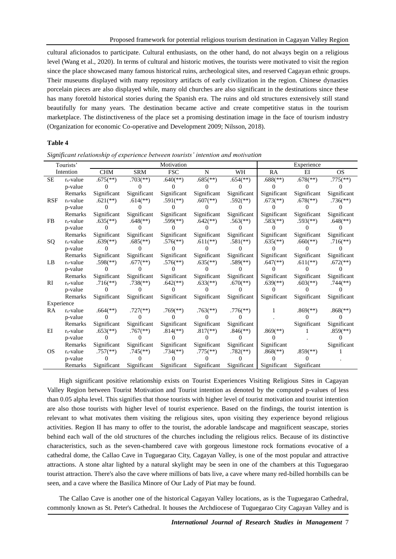cultural aficionados to participate. Cultural enthusiasts, on the other hand, do not always begin on a religious level (Wang et al., 2020). In terms of cultural and historic motives, the tourists were motivated to visit the region since the place showcased many famous historical ruins, archeological sites, and reserved Cagayan ethnic groups. Their museums displayed with many repository artifacts of early civilization in the region. Chinese dynasties porcelain pieces are also displayed while, many old churches are also significant in the destinations since these has many foretold historical stories during the Spanish era. The ruins and old structures extensively still stand beautifully for many years. The destination became active and create competitive status in the tourism marketplace. The distinctiveness of the place set a promising destination image in the face of tourism industry (Organization for economic Co-operative and Development 2009; Nilsson, 2018).

#### **Table 4**

|            | Tourists'    |                          |                          | Motivation               |                          |                          | Experience               |                          |                          |
|------------|--------------|--------------------------|--------------------------|--------------------------|--------------------------|--------------------------|--------------------------|--------------------------|--------------------------|
|            | Intention    | <b>CHM</b>               | <b>SRM</b>               | <b>FSC</b>               | N                        | WH                       | RA                       | EI                       | <b>OS</b>                |
| $\rm SE$   | $r_s$ -value | $.675$ <sup>(**)</sup>   | $.703$ <sup>(**)</sup>   | $.640$ <sup>(**)</sup> ) | $.685$ <sup>(**)</sup> ) | $.654$ <sup>(**)</sup> ) | $.688$ <sup>(**)</sup> ) | $.678$ <sup>(**)</sup> ) | $.775$ (**)              |
|            | p-value      |                          |                          |                          |                          |                          |                          |                          |                          |
|            | Remarks      | Significant              | Significant              | Significant              | Significant              | Significant              | Significant              | Significant              | Significant              |
| <b>RSF</b> | $r_s$ -value | $.621$ (**)              | $.614$ <sup>(**)</sup> ) | $.591$ <sup>(**)</sup> ) | $.607$ <sup>(**)</sup> ) | $.592$ <sup>(**)</sup> ) | $.673$ <sup>(**)</sup> ) | $.678$ <sup>(**)</sup> ) | $.736$ <sup>(**)</sup> ) |
|            | p-value      |                          |                          |                          |                          |                          |                          |                          |                          |
|            | Remarks      | Significant              | Significant              | Significant              | Significant              | Significant              | Significant              | Significant              | Significant              |
| <b>FB</b>  | $r_s$ -value | $.635$ <sup>(**)</sup> ) | $.648$ <sup>(**)</sup> ) | $.599$ <sup>(**)</sup> ) | $.642$ <sup>**</sup> )   | $.563$ <sup>(**)</sup> ) | $.583$ <sup>(**)</sup> ) | $.593$ <sup>(**)</sup> ) | $.648$ <sup>(**)</sup> ) |
|            | p-value      |                          |                          |                          |                          |                          |                          |                          |                          |
|            | Remarks      | Significant              | Significant              | Significant              | Significant              | Significant              | Significant              | Significant              | Significant              |
| SQ         | $r_s$ -value | $.639$ <sup>(**)</sup> ) | $.685$ <sup>(**)</sup> ) | $.576$ <sup>(**)</sup> ) | $.611$ (**)              | $.581$ <sup>(**)</sup> ) | $.635$ <sup>(**)</sup> ) | $.660$ <sup>(**)</sup> ) | $.716$ <sup>**</sup> )   |
|            | p-value      |                          |                          |                          |                          |                          |                          |                          |                          |
|            | Remarks      | Significant              | Significant              | Significant              | Significant              | Significant              | Significant              | Significant              | Significant              |
| LB         | $r_s$ -value | $.598$ <sup>(**)</sup> ) | $.677$ <sup>(**)</sup> ) | $.576$ <sup>(**)</sup> ) | $.635$ <sup>(**)</sup> ) | $.589$ <sup>(**)</sup> ) | $.647$ <sup>(**)</sup> ) | $.611$ (**)              | $.672$ <sup>**</sup> )   |
|            | p-value      |                          |                          |                          |                          |                          |                          |                          |                          |
|            | Remarks      | Significant              | Significant              | Significant              | Significant              | Significant              | Significant              | Significant              | Significant              |
| RI         | $r_s$ -value | $.716$ <sup>(**)</sup> ) | $.738$ <sup>(**)</sup> ) | $.642$ <sup>**</sup> )   | $.633$ <sup>(**)</sup> ) | $.670$ <sup>**</sup> )   | $.639$ <sup>(**)</sup> ) | $.603$ <sup>(**)</sup> ) | $.744$ <sup>(**)</sup> ) |
|            | p-value      |                          |                          |                          |                          |                          |                          |                          |                          |
|            | Remarks      | Significant              | Significant              | Significant              | Significant              | Significant              | Significant              | Significant              | Significant              |
| Experience |              |                          |                          |                          |                          |                          |                          |                          |                          |
| RA         | $r_s$ -value | $.664$ <sup>(**)</sup> ) | $.727$ <sup>(**)</sup> ) | $.769$ <sup>(**)</sup> ) | $.763$ <sup>(**)</sup> ) | $.776$ <sup>(**)</sup> ) | 1                        | $.869$ <sup>(**)</sup> ) | $.868$ <sup>(**)</sup> ) |
|            | p-value      |                          |                          |                          |                          |                          |                          |                          |                          |
|            | Remarks      | Significant              | Significant              | Significant              | Significant              | Significant              |                          | Significant              | Significant              |
| ΕI         | $r_s$ -value | $.653$ <sup>(**)</sup> ) | $.767$ <sup>(**)</sup> ) | $.814$ <sup>(**)</sup> ) | $.817$ <sup>(**)</sup> ) | $.846$ <sup>(**)</sup> ) | $.869$ <sup>(**)</sup> ) |                          | $.859$ <sup>(**)</sup> ) |
|            | p-value      |                          |                          |                          |                          |                          |                          |                          |                          |
|            | Remarks      | Significant              | Significant              | Significant              | Significant              | Significant              | Significant              |                          | Significant              |
| <b>OS</b>  | $r_s$ -value | $.757$ <sup>(**)</sup> ) | $.745$ <sup>**</sup> )   | $.734$ <sup>(**)</sup> ) | $.775$ <sup>(**)</sup> ) | $.782$ <sup>(**)</sup> ) | $.868$ <sup>(**)</sup> ) | $.859$ <sup>(**)</sup> ) |                          |
|            | p-value      |                          |                          |                          |                          |                          |                          |                          |                          |
|            | Remarks      | Significant              | Significant              | Significant              | Significant              | Significant              | Significant              | Significant              |                          |

*Significant relationship of experience between tourists' intention and motivation*

High significant positive relationship exists on Tourist Experiences Visiting Religious Sites in Cagayan Valley Region between Tourist Motivation and Tourist intention as denoted by the computed p-values of less than 0.05 alpha level. This signifies that those tourists with higher level of tourist motivation and tourist intention are also those tourists with higher level of tourist experience. Based on the findings, the tourist intention is relevant to what motivates them visiting the religious sites, upon visiting they experience beyond religious activities. Region II has many to offer to the tourist, the adorable landscape and magnificent seascape, stories behind each wall of the old structures of the churches including the religious relics. Because of its distinctive characteristics, such as the seven-chambered cave with gorgeous limestone rock formations evocative of a cathedral dome, the Callao Cave in Tuguegarao City, Cagayan Valley, is one of the most popular and attractive attractions. A stone altar lighted by a natural skylight may be seen in one of the chambers at this Tuguegarao tourist attraction. There's also the cave where millions of bats live, a cave where many red-billed hornbills can be seen, and a cave where the Basilica Minore of Our Lady of Piat may be found.

The Callao Cave is another one of the historical Cagayan Valley locations, as is the Tuguegarao Cathedral, commonly known as St. Peter's Cathedral. It houses the Archdiocese of Tuguegarao City Cagayan Valley and is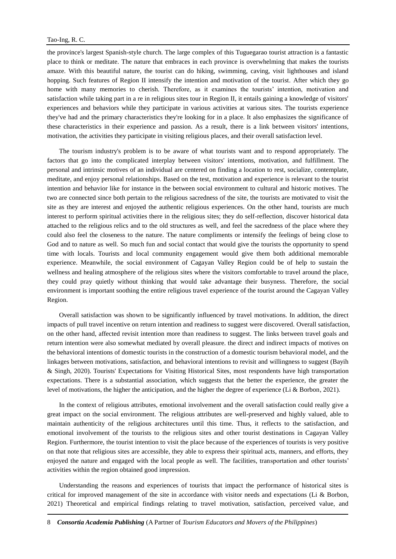the province's largest Spanish-style church. The large complex of this Tuguegarao tourist attraction is a fantastic place to think or meditate. The nature that embraces in each province is overwhelming that makes the tourists amaze. With this beautiful nature, the tourist can do hiking, swimming, caving, visit lighthouses and island hopping. Such features of Region II intensify the intention and motivation of the tourist. After which they go home with many memories to cherish. Therefore, as it examines the tourists' intention, motivation and satisfaction while taking part in a re in religious sites tour in Region II, it entails gaining a knowledge of visitors' experiences and behaviors while they participate in various activities at various sites. The tourists experience they've had and the primary characteristics they're looking for in a place. It also emphasizes the significance of these characteristics in their experience and passion. As a result, there is a link between visitors' intentions, motivation, the activities they participate in visiting religious places, and their overall satisfaction level.

The tourism industry's problem is to be aware of what tourists want and to respond appropriately. The factors that go into the complicated interplay between visitors' intentions, motivation, and fulfillment. The personal and intrinsic motives of an individual are centered on finding a location to rest, socialize, contemplate, meditate, and enjoy personal relationships. Based on the test, motivation and experience is relevant to the tourist intention and behavior like for instance in the between social environment to cultural and historic motives. The two are connected since both pertain to the religious sacredness of the site, the tourists are motivated to visit the site as they are interest and enjoyed the authentic religious experiences. On the other hand, tourists are much interest to perform spiritual activities there in the religious sites; they do self-reflection, discover historical data attached to the religious relics and to the old structures as well, and feel the sacredness of the place where they could also feel the closeness to the nature. The nature compliments or intensify the feelings of being close to God and to nature as well. So much fun and social contact that would give the tourists the opportunity to spend time with locals. Tourists and local community engagement would give them both additional memorable experience. Meanwhile, the social environment of Cagayan Valley Region could be of help to sustain the wellness and healing atmosphere of the religious sites where the visitors comfortable to travel around the place, they could pray quietly without thinking that would take advantage their busyness. Therefore, the social environment is important soothing the entire religious travel experience of the tourist around the Cagayan Valley Region.

Overall satisfaction was shown to be significantly influenced by travel motivations. In addition, the direct impacts of pull travel incentive on return intention and readiness to suggest were discovered. Overall satisfaction, on the other hand, affected revisit intention more than readiness to suggest. The links between travel goals and return intention were also somewhat mediated by overall pleasure. the direct and indirect impacts of motives on the behavioral intentions of domestic tourists in the construction of a domestic tourism behavioral model, and the linkages between motivations, satisfaction, and behavioral intentions to revisit and willingness to suggest (Bayih & Singh, 2020). Tourists' Expectations for Visiting Historical Sites, most respondents have high transportation expectations. There is a substantial association, which suggests that the better the experience, the greater the level of motivations, the higher the anticipation, and the higher the degree of experience (Li & Borbon, 2021).

In the context of religious attributes, emotional involvement and the overall satisfaction could really give a great impact on the social environment. The religious attributes are well-preserved and highly valued, able to maintain authenticity of the religious architectures until this time. Thus, it reflects to the satisfaction, and emotional involvement of the tourists to the religious sites and other tourist destinations in Cagayan Valley Region. Furthermore, the tourist intention to visit the place because of the experiences of tourists is very positive on that note that religious sites are accessible, they able to express their spiritual acts, manners, and efforts, they enjoyed the nature and engaged with the local people as well. The facilities, transportation and other tourists' activities within the region obtained good impression.

Understanding the reasons and experiences of tourists that impact the performance of historical sites is critical for improved management of the site in accordance with visitor needs and expectations (Li & Borbon, 2021) Theoretical and empirical findings relating to travel motivation, satisfaction, perceived value, and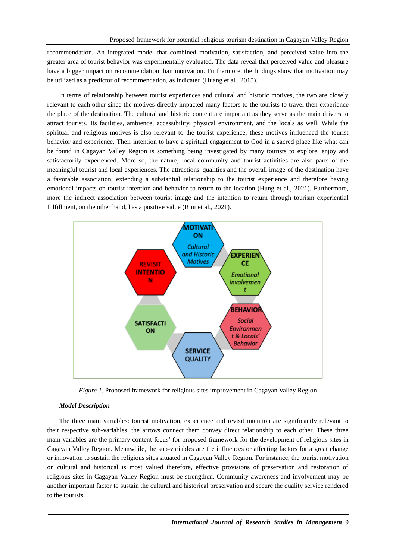recommendation. An integrated model that combined motivation, satisfaction, and perceived value into the greater area of tourist behavior was experimentally evaluated. The data reveal that perceived value and pleasure have a bigger impact on recommendation than motivation. Furthermore, the findings show that motivation may be utilized as a predictor of recommendation, as indicated (Huang et al., 2015).

In terms of relationship between tourist experiences and cultural and historic motives, the two are closely relevant to each other since the motives directly impacted many factors to the tourists to travel then experience the place of the destination. The cultural and historic content are important as they serve as the main drivers to attract tourists. Its facilities, ambience, accessibility, physical environment, and the locals as well. While the spiritual and religious motives is also relevant to the tourist experience, these motives influenced the tourist behavior and experience. Their intention to have a spiritual engagement to God in a sacred place like what can be found in Cagayan Valley Region is something being investigated by many tourists to explore, enjoy and satisfactorily experienced. More so, the nature, local community and tourist activities are also parts of the meaningful tourist and local experiences. The attractions' qualities and the overall image of the destination have a favorable association, extending a substantial relationship to the tourist experience and therefore having emotional impacts on tourist intention and behavior to return to the location (Hung et al., 2021). Furthermore, more the indirect association between tourist image and the intention to return through tourism experiential fulfillment, on the other hand, has a positive value (Rini et al., 2021).



*Figure 1.* Proposed framework for religious sites improvement in Cagayan Valley Region

#### *Model Description*

The three main variables: tourist motivation, experience and revisit intention are significantly relevant to their respective sub-variables, the arrows connect them convey direct relationship to each other. These three main variables are the primary content focus' for proposed framework for the development of religious sites in Cagayan Valley Region. Meanwhile, the sub-variables are the influences or affecting factors for a great change or innovation to sustain the religious sites situated in Cagayan Valley Region. For instance, the tourist motivation on cultural and historical is most valued therefore, effective provisions of preservation and restoration of religious sites in Cagayan Valley Region must be strengthen. Community awareness and involvement may be another important factor to sustain the cultural and historical preservation and secure the quality service rendered to the tourists.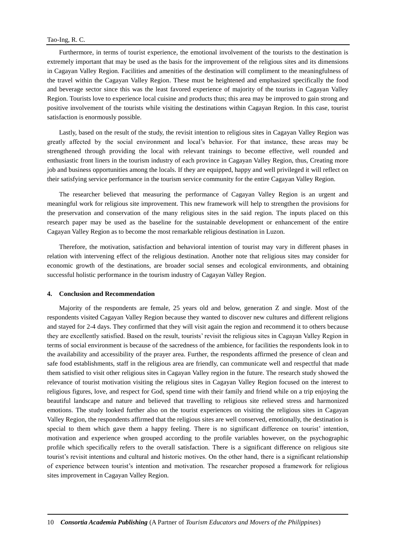Furthermore, in terms of tourist experience, the emotional involvement of the tourists to the destination is extremely important that may be used as the basis for the improvement of the religious sites and its dimensions in Cagayan Valley Region. Facilities and amenities of the destination will compliment to the meaningfulness of the travel within the Cagayan Valley Region. These must be heightened and emphasized specifically the food and beverage sector since this was the least favored experience of majority of the tourists in Cagayan Valley Region. Tourists love to experience local cuisine and products thus; this area may be improved to gain strong and positive involvement of the tourists while visiting the destinations within Cagayan Region. In this case, tourist satisfaction is enormously possible.

Lastly, based on the result of the study, the revisit intention to religious sites in Cagayan Valley Region was greatly affected by the social environment and local's behavior. For that instance, these areas may be strengthened through providing the local with relevant trainings to become effective, well rounded and enthusiastic front liners in the tourism industry of each province in Cagayan Valley Region, thus, Creating more job and business opportunities among the locals. If they are equipped, happy and well privileged it will reflect on their satisfying service performance in the tourism service community for the entire Cagayan Valley Region.

The researcher believed that measuring the performance of Cagayan Valley Region is an urgent and meaningful work for religious site improvement. This new framework will help to strengthen the provisions for the preservation and conservation of the many religious sites in the said region. The inputs placed on this research paper may be used as the baseline for the sustainable development or enhancement of the entire Cagayan Valley Region as to become the most remarkable religious destination in Luzon.

Therefore, the motivation, satisfaction and behavioral intention of tourist may vary in different phases in relation with intervening effect of the religious destination. Another note that religious sites may consider for economic growth of the destinations, are broader social senses and ecological environments, and obtaining successful holistic performance in the tourism industry of Cagayan Valley Region.

#### **4. Conclusion and Recommendation**

Majority of the respondents are female, 25 years old and below, generation Z and single. Most of the respondents visited Cagayan Valley Region because they wanted to discover new cultures and different religions and stayed for 2-4 days. They confirmed that they will visit again the region and recommend it to others because they are excellently satisfied. Based on the result, tourists' revisit the religious sites in Cagayan Valley Region in terms of social environment is because of the sacredness of the ambience, for facilities the respondents look in to the availability and accessibility of the prayer area. Further, the respondents affirmed the presence of clean and safe food establishments, staff in the religious area are friendly, can communicate well and respectful that made them satisfied to visit other religious sites in Cagayan Valley region in the future. The research study showed the relevance of tourist motivation visiting the religious sites in Cagayan Valley Region focused on the interest to religious figures, love, and respect for God, spend time with their family and friend while on a trip enjoying the beautiful landscape and nature and believed that travelling to religious site relieved stress and harmonized emotions. The study looked further also on the tourist experiences on visiting the religious sites in Cagayan Valley Region, the respondents affirmed that the religious sites are well conserved, emotionally, the destination is special to them which gave them a happy feeling. There is no significant difference on tourist' intention, motivation and experience when grouped according to the profile variables however, on the psychographic profile which specifically refers to the overall satisfaction. There is a significant difference on religious site tourist's revisit intentions and cultural and historic motives. On the other hand, there is a significant relationship of experience between tourist's intention and motivation. The researcher proposed a framework for religious sites improvement in Cagayan Valley Region.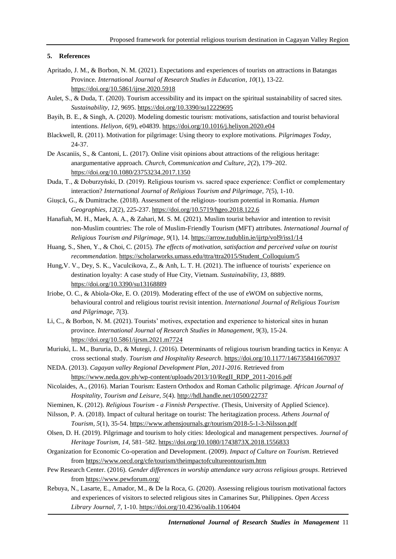#### **5. References**

- Apritado, J. M., & Borbon, N. M. (2021). Expectations and experiences of tourists on attractions in Batangas Province. *International Journal of Research Studies in Education, 10*(1), 13-22. <https://doi.org/10.5861/ijrse.2020.5918>
- Aulet, S., & Duda, T. (2020). Tourism accessibility and its impact on the spiritual sustainability of sacred sites. *Sustainability, 12*, 9695.<https://doi.org/10.3390/su12229695>
- Bayih, B. E., & Singh, A. (2020). Modeling domestic tourism: motivations, satisfaction and tourist behavioral intentions. *Heliyon, 6*(9), e04839. <https://doi.org/10.1016/j.heliyon.2020.e04>
- Blackwell, R. (2011). Motivation for pilgrimage: Using theory to explore motivations. *Pilgrimages Today*, 24-37.
- De Ascaniis, S., & Cantoni, L. (2017). Online visit opinions about attractions of the religious heritage: anargumentative approach. *Church, Communication and Culture, 2*(2), 179–202. <https://doi.org/10.1080/23753234.2017.1350>
- Duda, T., & Doburzyński, D. (2019). Religious tourism vs. sacred space experience: Conflict or complementary interaction? *International Journal of Religious Tourism and Pilgrimage, 7*(5), 1-10.
- Giușcă, G., & Dumitrache. (2018). Assessment of the religious- tourism potential in Romania. *Human Geographies, 12*(2), 225-237[. https://doi.org/10.5719/hgeo.2018.122.6](https://doi.org/10.5719/hgeo.2018.122.6)
- Hanafiah, M. H., Maek, A. A., & Zahari, M. S. M. (2021). Muslim tourist behavior and intention to revisit non-Muslim countries: The role of Muslim-Friendly Tourism (MFT) attributes. *International Journal of Religious Tourism and Pilgrimage, 9*(1), 14.<https://arrow.tudublin.ie/ijrtp/vol9/iss1/14>
- Huang, S., Shen, Y., & Choi, C. (2015). *The effects of motivation, satisfaction and perceived value on tourist recommendation*. [https://scholarworks.umass.edu/ttra/ttra2015/Student\\_Colloquium/5](https://scholarworks.umass.edu/ttra/ttra2015/Student_Colloquium/5)
- Hung,V. V., Dey, S. K., Vaculcikova, Z., & Anh, L. T. H. (2021). The influence of tourists' experience on destination loyalty: A case study of Hue City, Vietnam. *Sustainability, 13,* 8889. <https://doi.org/10.3390/su13168889>
- Iriobe, O. C., & Abiola-Oke, E. O. (2019). Moderating effect of the use of eWOM on subjective norms, behavioural control and religious tourist revisit intention. *International Journal of Religious Tourism and Pilgrimage, 7*(3).
- Li, C., & Borbon, N. M. (2021). Tourists' motives, expectation and experience to historical sites in hunan province. *International Journal of Research Studies in Management, 9*(3), 15-24. <https://doi.org/10.5861/ijrsm.2021.m7724>
- Muriuki, L. M., Bururia, D., & Mutegi, J. (2016). Determinants of religious tourism branding tactics in Kenya: A cross sectional study. *Tourism and Hospitality Research*.<https://doi.org/10.1177/1467358416670937>
- NEDA. (2013). *Cagayan valley Regional Development Plan, 2011-2016*. Retrieved from [https://www.neda.gov.ph/wp-content/uploads/2013/10/RegII\\_RDP\\_2011-2016.pdf](https://www.neda.gov.ph/wp-content/uploads/2013/10/RegII_RDP_2011-2016.pdf)
- Nicolaides, A., (2016). Marian Tourism: Eastern Orthodox and Roman Catholic pilgrimage. *African Journal of Hospitality, Tourism and Leisure, 5*(4).<http://hdl.handle.net/10500/22737>
- Nieminen, K. (2012). *Religious Tourism - a Finnish Perspective.* (Thesis, University of Applied Science).
- Nilsson, P. A. (2018). Impact of cultural heritage on tourist: The heritagization process. *Athens Journal of Tourism, 5*(1), 35-54.<https://www.athensjournals.gr/tourism/2018-5-1-3-Nilsson.pdf>
- Olsen, D. H. (2019). Pilgrimage and tourism to holy cities: Ideological and management perspectives. *Journal of Heritage Tourism, 14*, 581–582. <https://doi.org/10.1080/1743873X.2018.1556833>
- Organization for Economic Co-operation and Development. (2009). *Impact of Culture on Tourism*. Retrieved from <https://www.oecd.org/cfe/tourism/theimpactofcultureontourism.htm>
- Pew Research Center. (2016). *Gender differences in worship attendance vary across religious groups*. Retrieved from <https://www.pewforum.org/>
- Rebuya, N., Lasarte, E., Amador, M., & De la Roca, G. (2020). Assessing religious tourism motivational factors and experiences of visitors to selected religious sites in Camarines Sur, Philippines. *Open Access Library Journal, 7*, 1-10.<https://doi.org/10.4236/oalib.1106404>